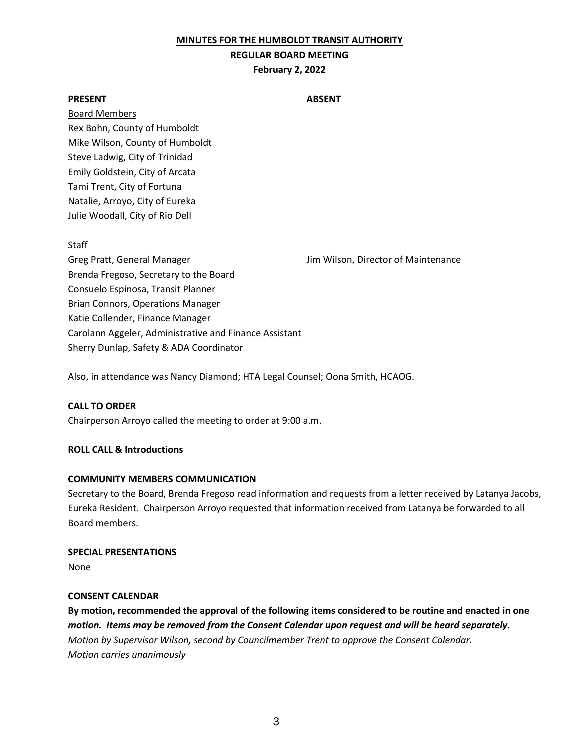### **MINUTES FOR THE HUMBOLDT TRANSIT AUTHORITY**

### **REGULAR BOARD MEETING**

### **February 2, 2022**

### **PRESENT ABSENT**

Board Members Rex Bohn, County of Humboldt Mike Wilson, County of Humboldt Steve Ladwig, City of Trinidad Emily Goldstein, City of Arcata Tami Trent, City of Fortuna Natalie, Arroyo, City of Eureka Julie Woodall, City of Rio Dell

### Staff

Greg Pratt, General Manager **Jim Wilson, Director of Maintenance** Brenda Fregoso, Secretary to the Board Consuelo Espinosa, Transit Planner Brian Connors, Operations Manager Katie Collender, Finance Manager Carolann Aggeler, Administrative and Finance Assistant Sherry Dunlap, Safety & ADA Coordinator

Also, in attendance was Nancy Diamond; HTA Legal Counsel; Oona Smith, HCAOG.

### **CALL TO ORDER**

Chairperson Arroyo called the meeting to order at 9:00 a.m.

### **ROLL CALL & Introductions**

### **COMMUNITY MEMBERS COMMUNICATION**

Secretary to the Board, Brenda Fregoso read information and requests from a letter received by Latanya Jacobs, Eureka Resident. Chairperson Arroyo requested that information received from Latanya be forwarded to all Board members.

# **SPECIAL PRESENTATIONS**

None

### **CONSENT CALENDAR**

**By motion, recommended the approval of the following items considered to be routine and enacted in one**  *motion. Items may be removed from the Consent Calendar upon request and will be heard separately. Motion by Supervisor Wilson, second by Councilmember Trent to approve the Consent Calendar. Motion carries unanimously*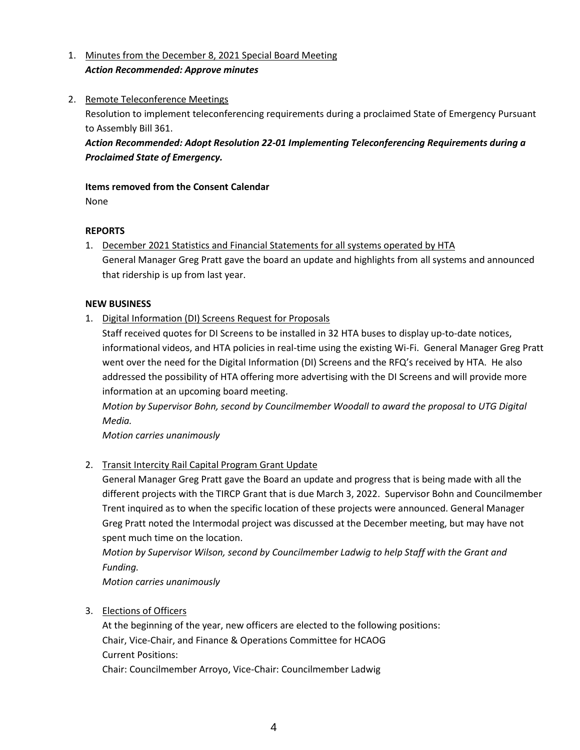- 1. Minutes from the December 8, 2021 Special Board Meeting *Action Recommended: Approve minutes*
- 2. Remote Teleconference Meetings

Resolution to implement teleconferencing requirements during a proclaimed State of Emergency Pursuant to Assembly Bill 361.

*Action Recommended: Adopt Resolution 22-01 Implementing Teleconferencing Requirements during a Proclaimed State of Emergency.* 

# **Items removed from the Consent Calendar**

None

# **REPORTS**

1. December 2021 Statistics and Financial Statements for all systems operated by HTA General Manager Greg Pratt gave the board an update and highlights from all systems and announced that ridership is up from last year.

# **NEW BUSINESS**

1. Digital Information (DI) Screens Request for Proposals

Staff received quotes for DI Screens to be installed in 32 HTA buses to display up-to-date notices, informational videos, and HTA policies in real-time using the existing Wi-Fi. General Manager Greg Pratt went over the need for the Digital Information (DI) Screens and the RFQ's received by HTA. He also addressed the possibility of HTA offering more advertising with the DI Screens and will provide more information at an upcoming board meeting.

*Motion by Supervisor Bohn, second by Councilmember Woodall to award the proposal to UTG Digital Media.* 

*Motion carries unanimously* 

# 2. Transit Intercity Rail Capital Program Grant Update

General Manager Greg Pratt gave the Board an update and progress that is being made with all the different projects with the TIRCP Grant that is due March 3, 2022. Supervisor Bohn and Councilmember Trent inquired as to when the specific location of these projects were announced. General Manager Greg Pratt noted the Intermodal project was discussed at the December meeting, but may have not spent much time on the location.

*Motion by Supervisor Wilson, second by Councilmember Ladwig to help Staff with the Grant and Funding.*

*Motion carries unanimously*

3. Elections of Officers

At the beginning of the year, new officers are elected to the following positions: Chair, Vice-Chair, and Finance & Operations Committee for HCAOG Current Positions: Chair: Councilmember Arroyo, Vice-Chair: Councilmember Ladwig